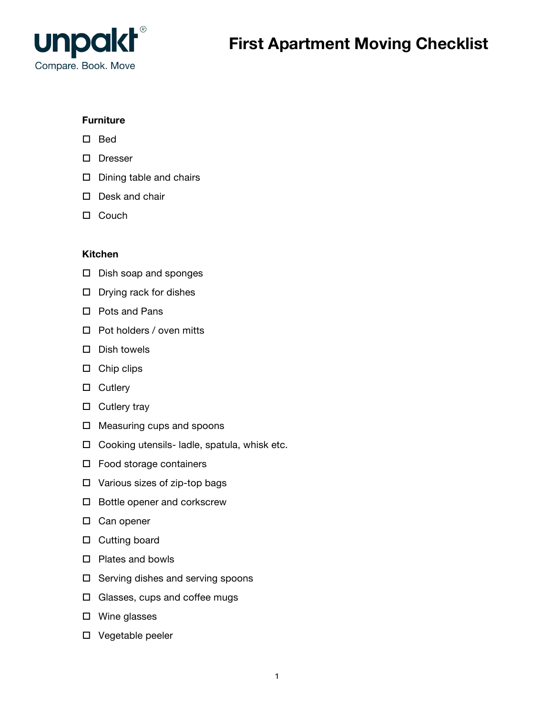

# **Furniture**

- $\square$  Bed
- D Dresser
- $\square$  Dining table and chairs
- $\square$  Desk and chair
- $\Box$  Couch

# **Kitchen**

- $\square$  Dish soap and sponges
- $\square$  Drying rack for dishes
- $\square$  Pots and Pans
- $\Box$  Pot holders / oven mitts
- $\square$  Dish towels
- $\square$  Chip clips
- $\square$  Cutlery
- $\square$  Cutlery tray
- $\square$  Measuring cups and spoons
- $\Box$  Cooking utensils- ladle, spatula, whisk etc.
- $\square$  Food storage containers
- $\square$  Various sizes of zip-top bags
- $\square$  Bottle opener and corkscrew
- $\square$  Can opener
- $\square$  Cutting board
- $\square$  Plates and bowls
- $\square$  Serving dishes and serving spoons
- $\square$  Glasses, cups and coffee mugs
- $\square$  Wine glasses
- $\square$  Vegetable peeler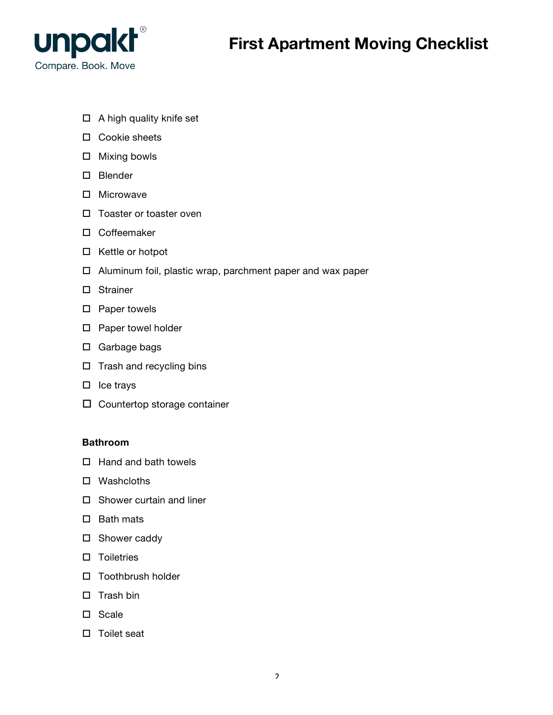

- $\Box$  A high quality knife set
- $\square$  Cookie sheets
- $\square$  Mixing bowls
- $\square$  Blender
- $\square$  Microwave
- $\square$  Toaster or toaster oven
- $\square$  Coffeemaker
- $\square$  Kettle or hotpot
- $\Box$  Aluminum foil, plastic wrap, parchment paper and wax paper
- $\square$  Strainer
- $\square$  Paper towels
- $\square$  Paper towel holder
- $\square$  Garbage bags
- $\square$  Trash and recycling bins
- $\square$  Ice trays
- $\square$  Countertop storage container

#### **Bathroom**

- $\Box$  Hand and bath towels
- $\square$  Washcloths
- $\square$  Shower curtain and liner
- $\square$  Bath mats
- $\square$  Shower caddy
- $\square$  Toiletries
- $\square$  Toothbrush holder
- $\square$  Trash bin
- $\square$  Scale
- $\square$  Toilet seat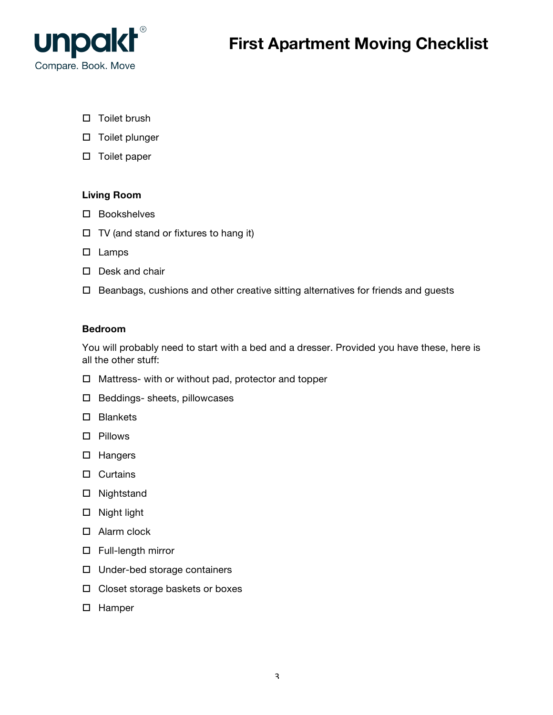

- $\square$  Toilet brush
- $\square$  Toilet plunger
- $\square$  Toilet paper

### **Living Room**

- $\square$  Bookshelves
- $\Box$  TV (and stand or fixtures to hang it)
- $\square$  Lamps
- $\square$  Desk and chair
- $\Box$  Beanbags, cushions and other creative sitting alternatives for friends and guests

### **Bedroom**

You will probably need to start with a bed and a dresser. Provided you have these, here is all the other stuff:

- $\Box$  Mattress- with or without pad, protector and topper
- $\square$  Beddings- sheets, pillowcases
- $\square$  Blankets
- $\square$  Pillows
- $\square$  Hangers
- $\square$  Curtains
- $\square$  Nightstand
- $\square$  Night light
- $\Box$  Alarm clock
- $\square$  Full-length mirror
- $\Box$  Under-bed storage containers
- $\Box$  Closet storage baskets or boxes
- $\square$  Hamper